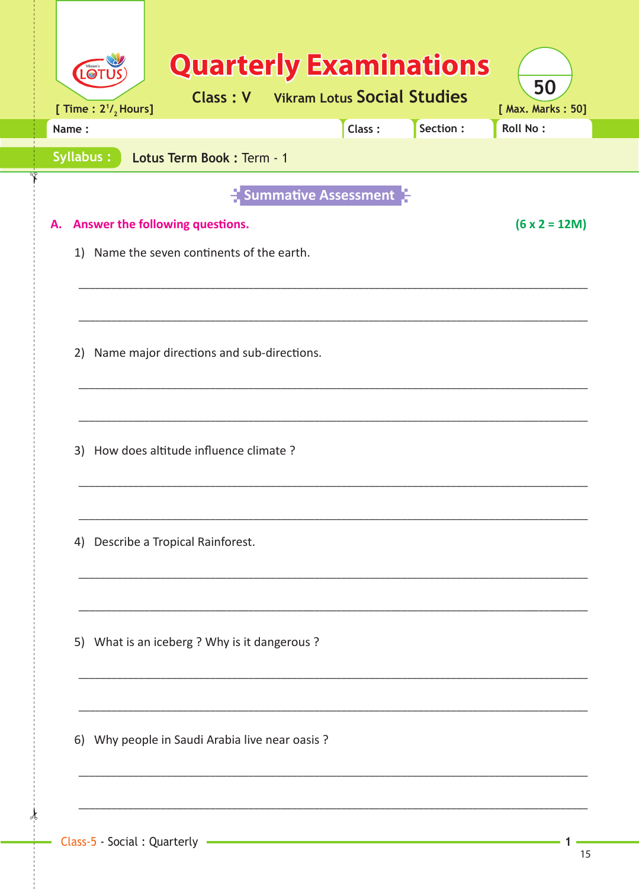| Name:                                           | Class:                      | Section: | <b>Roll No:</b> |
|-------------------------------------------------|-----------------------------|----------|-----------------|
| <b>Syllabus:</b><br>Lotus Term Book: Term - 1   |                             |          |                 |
|                                                 | <b>Summative Assessment</b> |          |                 |
| Answer the following questions.<br>А.           |                             |          | $(6 x 2 = 12M)$ |
| 1) Name the seven continents of the earth.      |                             |          |                 |
|                                                 |                             |          |                 |
|                                                 |                             |          |                 |
| Name major directions and sub-directions.<br>2) |                             |          |                 |
|                                                 |                             |          |                 |
|                                                 |                             |          |                 |
| 3) How does altitude influence climate?         |                             |          |                 |
|                                                 |                             |          |                 |
| Describe a Tropical Rainforest.<br>4)           |                             |          |                 |
|                                                 |                             |          |                 |
|                                                 |                             |          |                 |
|                                                 |                             |          |                 |
| 5) What is an iceberg ? Why is it dangerous ?   |                             |          |                 |
|                                                 |                             |          |                 |
|                                                 |                             |          |                 |
| 6) Why people in Saudi Arabia live near oasis ? |                             |          |                 |

 $\mathbf 1$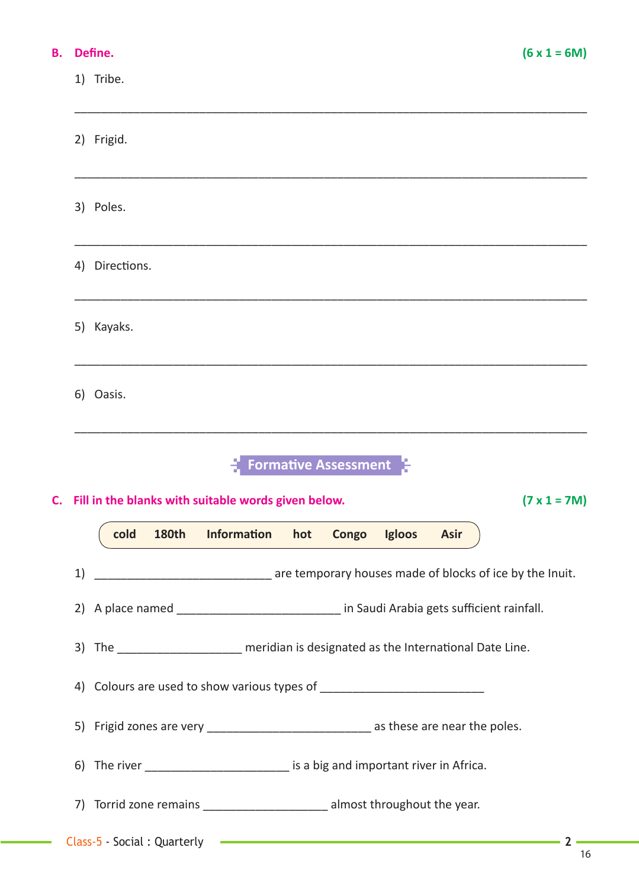## **B.** Define.

C.

| 1) | Tribe.                                                                     |              |                                                                                                                        |     |       |        |             |                                                          |
|----|----------------------------------------------------------------------------|--------------|------------------------------------------------------------------------------------------------------------------------|-----|-------|--------|-------------|----------------------------------------------------------|
|    | 2) Frigid.                                                                 |              |                                                                                                                        |     |       |        |             |                                                          |
| 3) | Poles.                                                                     |              |                                                                                                                        |     |       |        |             |                                                          |
| 4) | Directions.                                                                |              |                                                                                                                        |     |       |        |             |                                                          |
| 5) | Kayaks.                                                                    |              |                                                                                                                        |     |       |        |             |                                                          |
|    | 6) Oasis.                                                                  |              |                                                                                                                        |     |       |        |             |                                                          |
|    | <b>Formative Assessment</b>                                                |              |                                                                                                                        |     |       |        |             |                                                          |
|    | $(7 \times 1 = 7M)$<br>Fill in the blanks with suitable words given below. |              |                                                                                                                        |     |       |        |             |                                                          |
|    | cold                                                                       | <b>180th</b> | <b>Information</b>                                                                                                     | hot | Congo | Igloos | <b>Asir</b> |                                                          |
| 1) |                                                                            |              |                                                                                                                        |     |       |        |             | are temporary houses made of blocks of ice by the Inuit. |
|    |                                                                            |              | 2) A place named ______________________________ in Saudi Arabia gets sufficient rainfall.                              |     |       |        |             |                                                          |
|    |                                                                            |              | 3) The ______________________ meridian is designated as the International Date Line.                                   |     |       |        |             |                                                          |
|    |                                                                            |              |                                                                                                                        |     |       |        |             |                                                          |
|    |                                                                            |              | 5) Frigid zones are very ___________________________________ as these are near the poles.                              |     |       |        |             |                                                          |
|    |                                                                            |              | 6) The river ___________________________ is a big and important river in Africa.                                       |     |       |        |             |                                                          |
|    |                                                                            |              | 7) Torrid zone remains ________________________ almost throughout the year.                                            |     |       |        |             |                                                          |
|    | Class-5 - Social: Quarterly                                                |              | <u> Termin a strong programma strong programma strong programma strong programma strong programma strong programma</u> |     |       |        |             | $2 -$                                                    |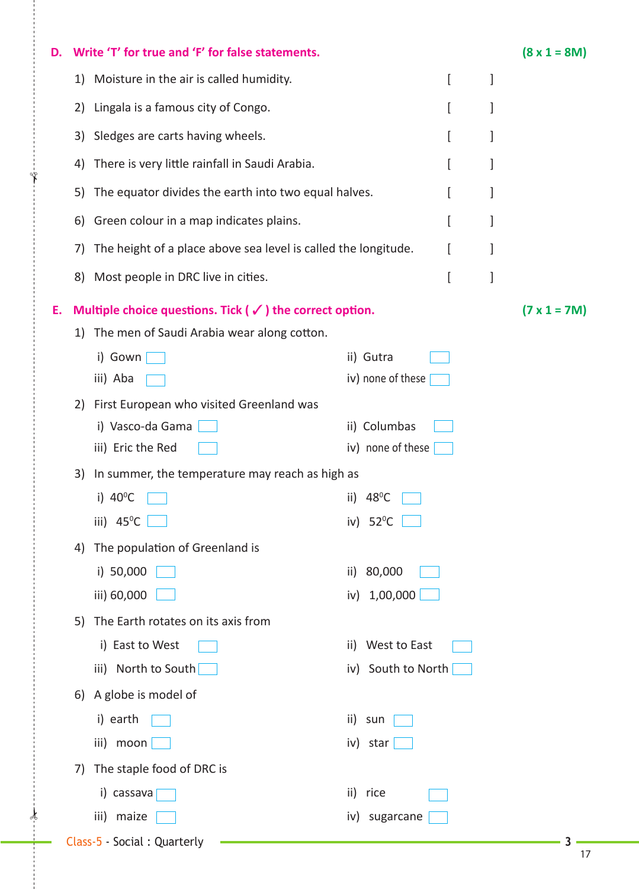| D. |                     | Write 'T' for true and 'F' for false statements.                     |                       |   |   | $(8 \times 1 = 8M)$ |
|----|---------------------|----------------------------------------------------------------------|-----------------------|---|---|---------------------|
|    | 1)                  | Moisture in the air is called humidity.                              |                       | ſ | 1 |                     |
|    | 2)                  | Lingala is a famous city of Congo.                                   |                       | ſ | 1 |                     |
|    | 3)                  | Sledges are carts having wheels.                                     |                       | ſ | 1 |                     |
|    | 4)                  | There is very little rainfall in Saudi Arabia.                       |                       |   | 1 |                     |
|    | 5)                  | The equator divides the earth into two equal halves.                 |                       |   | 1 |                     |
|    | 6)                  | Green colour in a map indicates plains.                              |                       | l | 1 |                     |
|    | 7)                  | The height of a place above sea level is called the longitude.       |                       |   | 1 |                     |
|    |                     |                                                                      |                       |   |   |                     |
|    | 8)                  | Most people in DRC live in cities.                                   |                       | ſ | ] |                     |
| Ε. |                     | Multiple choice questions. Tick ( $\checkmark$ ) the correct option. |                       |   |   | $(7 \times 1 = 7M)$ |
|    | 1)                  | The men of Saudi Arabia wear along cotton.                           |                       |   |   |                     |
|    | i) Gown             |                                                                      | ii) Gutra             |   |   |                     |
|    | iii) Aba            |                                                                      | iv) none of these     |   |   |                     |
|    | 2)                  | First European who visited Greenland was                             |                       |   |   |                     |
|    |                     | i) Vasco-da Gama                                                     | ii) Columbas          |   |   |                     |
|    |                     | iii) Eric the Red                                                    | iv) none of these     |   |   |                     |
|    | 3)                  | In summer, the temperature may reach as high as                      |                       |   |   |                     |
|    | i) $40^{\circ}$ C   |                                                                      | $48^{\circ}$ C<br>ii) |   |   |                     |
|    | iii) $45^{\circ}$ C |                                                                      | $52^{\circ}$ C<br>iv) |   |   |                     |
|    | 4)                  | The population of Greenland is                                       |                       |   |   |                     |
|    | i) 50,000           |                                                                      | 80,000<br>ii)         |   |   |                     |
|    | iii) 60,000         |                                                                      | 1,00,000<br>iv)       |   |   |                     |
|    | 5)                  | The Earth rotates on its axis from                                   |                       |   |   |                     |
|    |                     | i) East to West                                                      | West to East<br>ii)   |   |   |                     |
|    |                     | iii) North to South                                                  | iv) South to North    |   |   |                     |
|    | 6)                  | A globe is model of                                                  |                       |   |   |                     |
|    | i) earth            |                                                                      | ii)<br>sun            |   |   |                     |
|    | iii) moon           |                                                                      | iv) star              |   |   |                     |
|    | 7)                  | The staple food of DRC is                                            |                       |   |   |                     |
|    |                     | i) cassava                                                           | ii)<br>rice           |   |   |                     |
|    | iii) maize          |                                                                      | sugarcane<br>iv)      |   |   |                     |
|    |                     | Class-5 - Social: Quarterly                                          |                       |   |   |                     |

 $\star$ 

✁